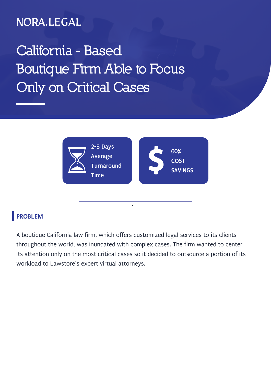### NORA.LEGAL

# **California - Based Boutique Firm Able to Focus Only on Critical Cases**



#### **PROBLEM**

A boutique California law firm, which offers customized legal services to its clients throughout the world, was inundated with complex cases. The firm wanted to center its attention only on the most critical cases so it decided to outsource a portion of its workload to Lawstore's expert virtual attorneys.

**.**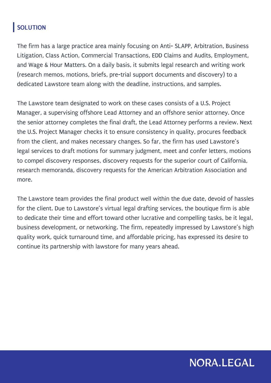#### **SOLUTION**

The firm has a large practice area mainly focusing on Anti- SLAPP, Arbitration, Business Litigation, Class Action, Commercial Transactions, EDD Claims and Audits, Employment, and Wage & Hour Matters. On a daily basis, it submits legal research and writing work (research memos, motions, briefs, pre-trial support documents and discovery) to a dedicated Lawstore team along with the deadline, instructions, and samples.

The Lawstore team designated to work on these cases consists of a U.S. Project Manager, a supervising offshore Lead Attorney and an offshore senior attorney. Once the senior attorney completes the final draft, the Lead Attorney performs a review. Next the U.S. Project Manager checks it to ensure consistency in quality, procures feedback from the client, and makes necessary changes. So far, the firm has used Lawstore's legal services to draft motions for summary judgment, meet and confer letters, motions to compel discovery responses, discovery requests for the superior court of California, research memoranda, discovery requests for the American Arbitration Association and more.

The Lawstore team provides the final product well within the due date, devoid of hassles for the client. Due to Lawstore's virtual legal drafting services, the boutique firm is able to dedicate their time and effort toward other lucrative and compelling tasks, be it legal, business development, or networking. The firm, repeatedly impressed by Lawstore's high quality work, quick turnaround time, and affordable pricing, has expressed its desire to continue its partnership with lawstore for many years ahead.